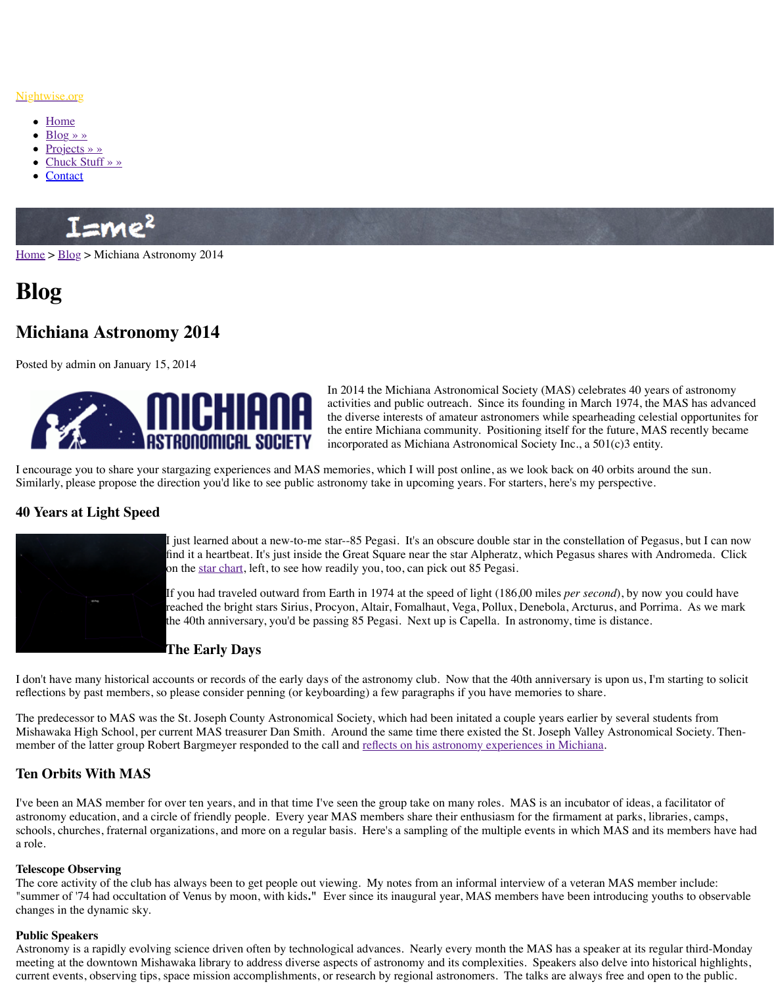

In 2014 the Michiana  $\Delta$ stro activities and public outreach. the diverse interests of ama the entire Michiana community. incorporated as Michiana A

I encourage you to share your stargazing experiences and MAS memories, which I will post Similarly, please propose the direction you'd like to see public astronomy take in upcoming years.

## **40 Y[ears a](http://www.nightwise.org/)[t L](http://www.nightwise.org/blog/)ight Speed**



I just learned about a new-to-me star--85 Pegasi. It's an obsc find it a heartbeat. It's just inside the Great Square near the star on the star chart, left, to see how readily you, too, can pick out

If you had traveled outward from Earth in 1974 at the speed of reached the bright stars Sirius, Procyon, Altair, Fomalhaut, V the 40th anniversary, you'd be passing 85 Pegasi. Next up is

# **The Early Days**

I don't have many historical accounts or records of the early days of the astronomy club. No reflections by past members, so please consider penning (or keyboarding) a few paragraphs in

The predecessor to MAS was the St. Joseph County Astronomical Society, which had been in Mishawaka High School, per current MAS treasurer Dan Smith. Around the same time ther member of the latter group Robert Bargmeyer responded to the call and reflects on his astron

## **Ten Orbits With MAS**

I've been an MAS member for over ten years, and in that time I've seen the group take on many roles. astronomy education, and a circle of friendly people. Every year MAS members share their schools, churches, fraternal organizations, and more on a regular basis. Here's a sampling of a role.

#### **Telescope Observing**

The core activity of the club has always been to get people out viewing. My notes from an i "summer of '74 had occultation of Venus by moon, with kids." Ever since its inaugural year changes in the dynamic sky.

#### **Public Speakers**

Astronomy is a rapidly evolving science driven often by technological advances. Nearly every meeting at the downtown Mishawaka [library to](http://www.nightwise.org/files/6813/8971/0639/85Pegasi-square.png) address diverse aspects of astronomy and its current events, observing tips, space mission accomplishments, or research by regional astro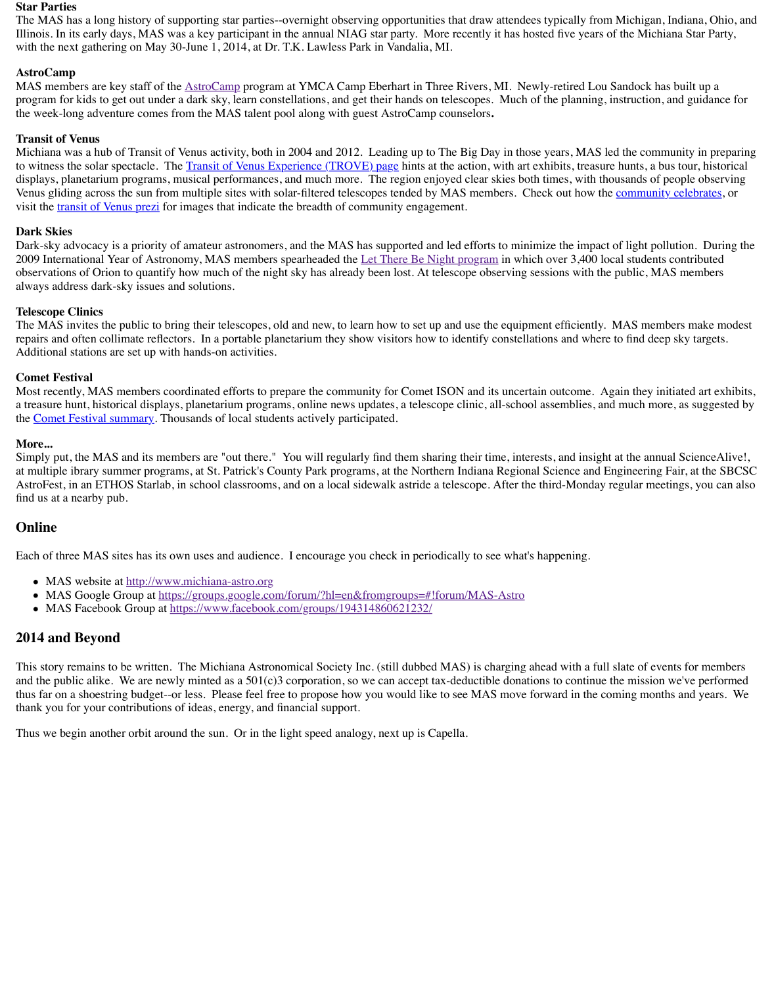Most recently, MAS members coordinated efforts to prepare the community for Comet ISON and its uncertain outcome. Again they initiated art exhibits, a treasure hunt, historical displays, planetarium programs, online news updates, a telescope or the Comet Festival summary. Thousands of local students actively participated.

#### **More...**

Simply put, the MAS and its members are "out there." You will regularly find them sharing at multiple ibrary summer progra[ms, at St. Patr](http://www.astrocamp.us/)ick's County Park programs, at the Northern I AstroFest, in an ETHOS Starlab, in school classrooms, and on a local sidewalk astride a tele find us at a nearby pub.

# **Online**

Each of three MAS sites has its ow[n uses and audience. I encourage you check](http://www.transitofvenus.org/june2012/trove) in periodical

- MAS website at http://www.michiana-astro.org
- [MAS Google Group at h](http://prezi.com/3tgyibho9g-w/transit-of-venus-across-the-sun/)ttps://groups.google.com/forum/?hl=en&fromgroups=#!forur
- MAS Facebook Group at https://www.facebook.com/groups/194314860621232/

### **2014 and Beyond**

This story remains to be written. The Michiana Astronomical Society Inc. (still dubbed MA and the public alike. We are newly minted as a  $501(c)3$  corporation, so we can accept tax-de thus far on a shoestring budget--or less. Please feel free to propose how you would like to see thank you for your contributions of ideas, energy, and financial support.

Thus we begin another orbit around the sun. Or in the light speed analogy, next up is Capell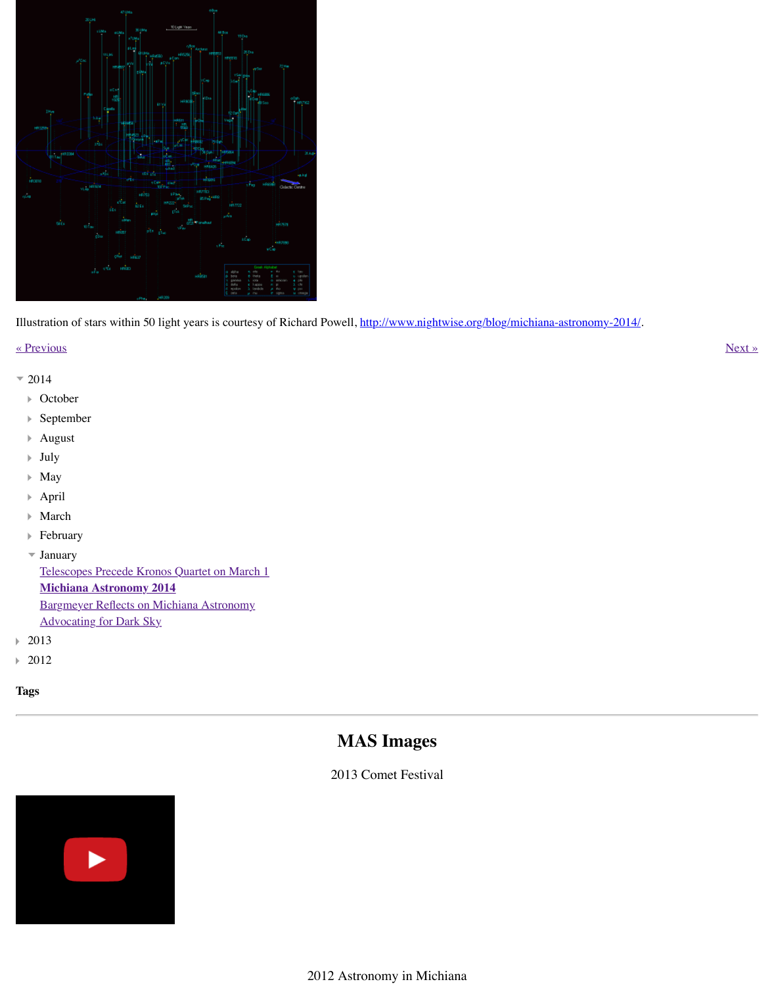- **October** Þ
- September Þ
- August Þ
- July Þ
- May Þ
- April Þ
- March Þ
- February Þ
- January

[Telescopes Precede Kronos Quartet on March 1](http://www.atlasoftheuniverse.com/50lys.html) **Michiana Astronomy 2014** Bargmeyer Reflects on Michiana Astronomy Advocating for Dark Sky

- 2013 Þ
- 2012 Þ
- **Tags**

# **MAS Images**

2013 Comet Festival



2012 Astronomy in Michian